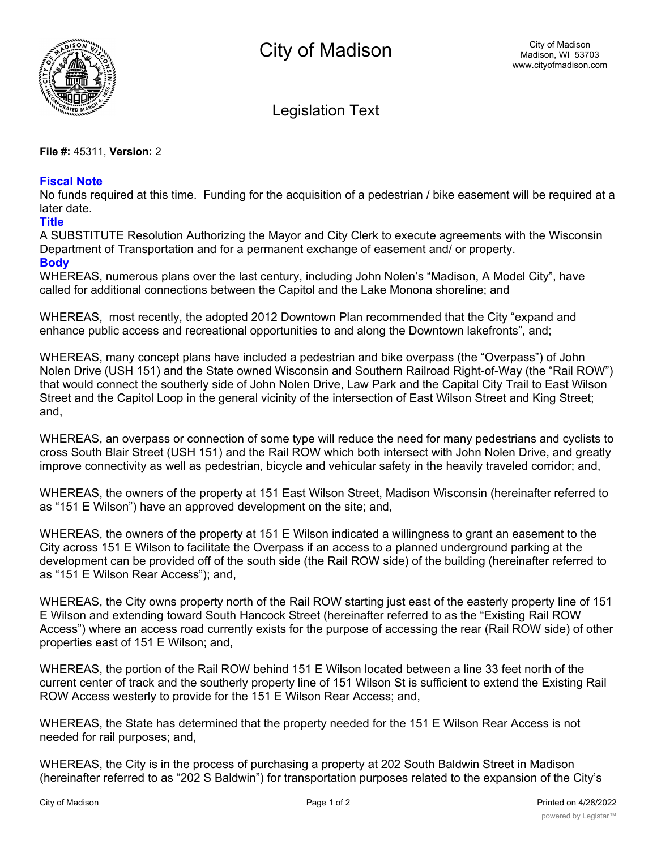

Legislation Text

**File #:** 45311, **Version:** 2

## **Fiscal Note**

No funds required at this time. Funding for the acquisition of a pedestrian / bike easement will be required at a later date.

## **Title**

A SUBSTITUTE Resolution Authorizing the Mayor and City Clerk to execute agreements with the Wisconsin Department of Transportation and for a permanent exchange of easement and/ or property. **Body**

WHEREAS, numerous plans over the last century, including John Nolen's "Madison, A Model City", have called for additional connections between the Capitol and the Lake Monona shoreline; and

WHEREAS, most recently, the adopted 2012 Downtown Plan recommended that the City "expand and enhance public access and recreational opportunities to and along the Downtown lakefronts", and;

WHEREAS, many concept plans have included a pedestrian and bike overpass (the "Overpass") of John Nolen Drive (USH 151) and the State owned Wisconsin and Southern Railroad Right-of-Way (the "Rail ROW") that would connect the southerly side of John Nolen Drive, Law Park and the Capital City Trail to East Wilson Street and the Capitol Loop in the general vicinity of the intersection of East Wilson Street and King Street; and,

WHEREAS, an overpass or connection of some type will reduce the need for many pedestrians and cyclists to cross South Blair Street (USH 151) and the Rail ROW which both intersect with John Nolen Drive, and greatly improve connectivity as well as pedestrian, bicycle and vehicular safety in the heavily traveled corridor; and,

WHEREAS, the owners of the property at 151 East Wilson Street, Madison Wisconsin (hereinafter referred to as "151 E Wilson") have an approved development on the site; and,

WHEREAS, the owners of the property at 151 E Wilson indicated a willingness to grant an easement to the City across 151 E Wilson to facilitate the Overpass if an access to a planned underground parking at the development can be provided off of the south side (the Rail ROW side) of the building (hereinafter referred to as "151 E Wilson Rear Access"); and,

WHEREAS, the City owns property north of the Rail ROW starting just east of the easterly property line of 151 E Wilson and extending toward South Hancock Street (hereinafter referred to as the "Existing Rail ROW Access") where an access road currently exists for the purpose of accessing the rear (Rail ROW side) of other properties east of 151 E Wilson; and,

WHEREAS, the portion of the Rail ROW behind 151 E Wilson located between a line 33 feet north of the current center of track and the southerly property line of 151 Wilson St is sufficient to extend the Existing Rail ROW Access westerly to provide for the 151 E Wilson Rear Access; and,

WHEREAS, the State has determined that the property needed for the 151 E Wilson Rear Access is not needed for rail purposes; and,

WHEREAS, the City is in the process of purchasing a property at 202 South Baldwin Street in Madison (hereinafter referred to as "202 S Baldwin") for transportation purposes related to the expansion of the City's